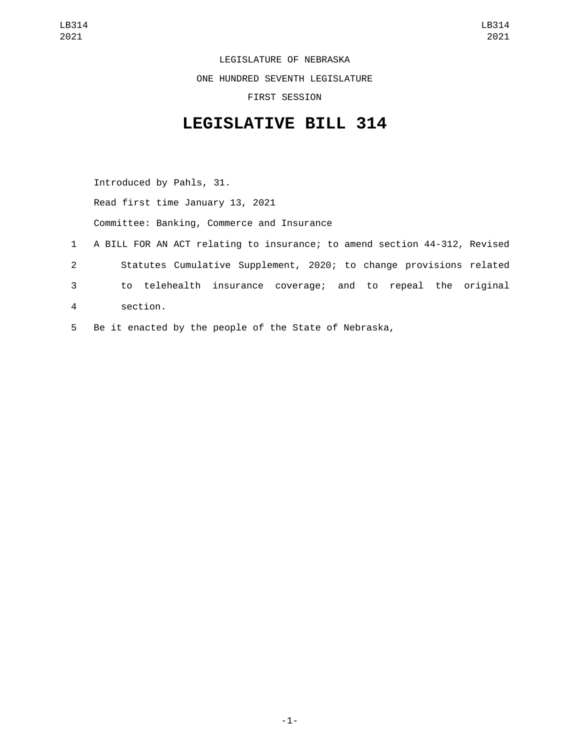LEGISLATURE OF NEBRASKA ONE HUNDRED SEVENTH LEGISLATURE FIRST SESSION

## **LEGISLATIVE BILL 314**

Introduced by Pahls, 31. Read first time January 13, 2021 Committee: Banking, Commerce and Insurance 1 A BILL FOR AN ACT relating to insurance; to amend section 44-312, Revised 2 Statutes Cumulative Supplement, 2020; to change provisions related 3 to telehealth insurance coverage; and to repeal the original

- section.4
- 5 Be it enacted by the people of the State of Nebraska,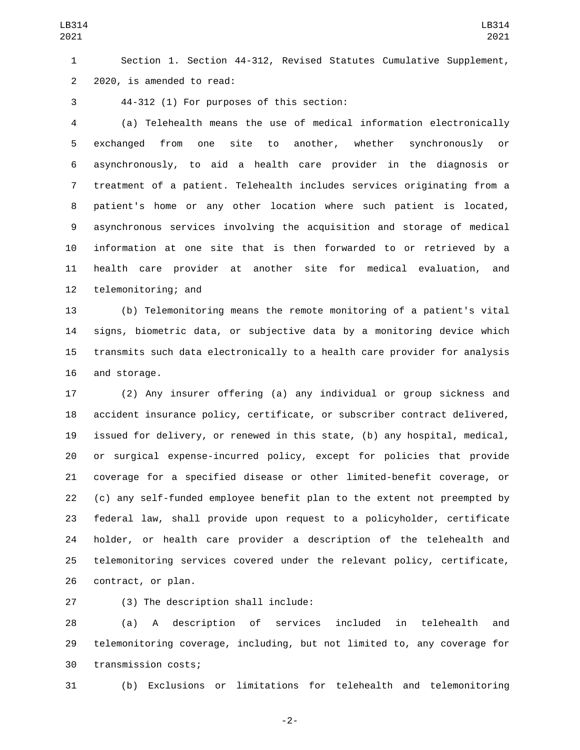Section 1. Section 44-312, Revised Statutes Cumulative Supplement, 2 2020, is amended to read:

44-312 (1) For purposes of this section:3

 (a) Telehealth means the use of medical information electronically exchanged from one site to another, whether synchronously or asynchronously, to aid a health care provider in the diagnosis or treatment of a patient. Telehealth includes services originating from a patient's home or any other location where such patient is located, asynchronous services involving the acquisition and storage of medical information at one site that is then forwarded to or retrieved by a health care provider at another site for medical evaluation, and 12 telemonitoring; and

 (b) Telemonitoring means the remote monitoring of a patient's vital signs, biometric data, or subjective data by a monitoring device which transmits such data electronically to a health care provider for analysis 16 and storage.

 (2) Any insurer offering (a) any individual or group sickness and accident insurance policy, certificate, or subscriber contract delivered, issued for delivery, or renewed in this state, (b) any hospital, medical, or surgical expense-incurred policy, except for policies that provide coverage for a specified disease or other limited-benefit coverage, or (c) any self-funded employee benefit plan to the extent not preempted by federal law, shall provide upon request to a policyholder, certificate holder, or health care provider a description of the telehealth and telemonitoring services covered under the relevant policy, certificate, 26 contract, or plan.

(3) The description shall include:27

 (a) A description of services included in telehealth and telemonitoring coverage, including, but not limited to, any coverage for 30 transmission costs;

(b) Exclusions or limitations for telehealth and telemonitoring

-2-